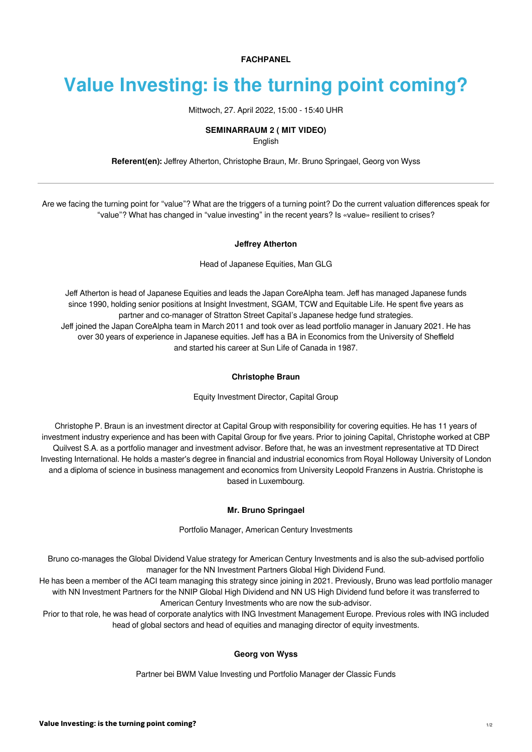**FACHPANEL**

# **Value Investing: is the turning point coming?**

Mittwoch, 27. April 2022, 15:00 - 15:40 UHR

## **SEMINARRAUM 2 ( MIT VIDEO)**

English

**Referent(en):** [Jeffrey Atherton](https://finanzmesse.ch/referenten/referenten-2022/jeffrey-atherton-ref1-203.html), [Christophe Braun](https://finanzmesse.ch/referenten/referenten-2022/christophe-braun-ref2-203.html), [Mr. Bruno Springael](https://finanzmesse.ch/referenten/referenten-2022/mr-bruno-springael-ref4-203.html), [Georg von Wyss](https://finanzmesse.ch/referenten/referenten-2022/georg-von-wyss-ref3-203.html)

Are we facing the turning point for "value"? What are the triggers of a turning point? Do the current valuation differences speak for "value"? What has changed in "value investing" in the recent years? Is «value» resilient to crises?

#### **Jeffrey Atherton**

Head of Japanese Equities, Man GLG

Jeff Atherton is head of Japanese Equities and leads the Japan CoreAlpha team. Jeff has managed Japanese funds since 1990, holding senior positions at Insight Investment, SGAM, TCW and Equitable Life. He spent five years as partner and co-manager of Stratton Street Capital's Japanese hedge fund strategies. Jeff joined the Japan CoreAlpha team in March 2011 and took over as lead portfolio manager in January 2021. He has over 30 years of experience in Japanese equities. Jeff has a BA in Economics from the University of Sheffield and started his career at Sun Life of Canada in 1987.

## **Christophe Braun**

Equity Investment Director, Capital Group

Christophe P. Braun is an investment director at Capital Group with responsibility for covering equities. He has 11 years of investment industry experience and has been with Capital Group for five years. Prior to joining Capital, Christophe worked at CBP Quilvest S.A. as a portfolio manager and investment advisor. Before that, he was an investment representative at TD Direct Investing International. He holds a master's degree in financial and industrial economics from Royal Holloway University of London and a diploma of science in business management and economics from University Leopold Franzens in Austria. Christophe is based in Luxembourg.

## **Mr. Bruno Springael**

Portfolio Manager, American Century Investments

Bruno co-manages the Global Dividend Value strategy for American Century Investments and is also the sub-advised portfolio manager for the NN Investment Partners Global High Dividend Fund.

He has been a member of the ACI team managing this strategy since joining in 2021. Previously, Bruno was lead portfolio manager with NN Investment Partners for the NNIP Global High Dividend and NN US High Dividend fund before it was transferred to American Century Investments who are now the sub-advisor.

Prior to that role, he was head of corporate analytics with ING Investment Management Europe. Previous roles with ING included head of global sectors and head of equities and managing director of equity investments.

## **Georg von Wyss**

Partner bei BWM Value Investing und Portfolio Manager der Classic Funds